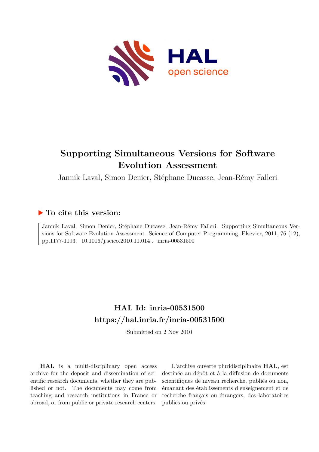

# **Supporting Simultaneous Versions for Software Evolution Assessment**

Jannik Laval, Simon Denier, Stéphane Ducasse, Jean-Rémy Falleri

### **To cite this version:**

Jannik Laval, Simon Denier, Stéphane Ducasse, Jean-Rémy Falleri. Supporting Simultaneous Versions for Software Evolution Assessment. Science of Computer Programming, Elsevier, 2011, 76 (12), pp.1177-1193.  $10.1016/j.scico.2010.11.014$ . inria-00531500

## **HAL Id: inria-00531500 <https://hal.inria.fr/inria-00531500>**

Submitted on 2 Nov 2010

**HAL** is a multi-disciplinary open access archive for the deposit and dissemination of scientific research documents, whether they are published or not. The documents may come from teaching and research institutions in France or abroad, or from public or private research centers.

L'archive ouverte pluridisciplinaire **HAL**, est destinée au dépôt et à la diffusion de documents scientifiques de niveau recherche, publiés ou non, émanant des établissements d'enseignement et de recherche français ou étrangers, des laboratoires publics ou privés.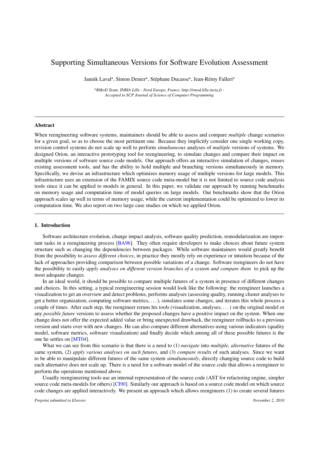### Supporting Simultaneous Versions for Software Evolution Assessment

Jannik Laval<sup>a</sup>, Simon Denier<sup>a</sup>, Stéphane Ducasse<sup>a</sup>, Jean-Rémy Falleri<sup>a</sup>

*<sup>a</sup>RMoD Team, INRIA Lille - Nord Europe, France, http://rmod.lille.inria.fr - Accepted to SCP Journal of Science of Computer Programming*

#### Abstract

When reengineering software systems, maintainers should be able to assess and compare *multiple* change scenarios for a given goal, so as to choose the most pertinent one. Because they implicitly consider one single working copy, revision control systems do not scale up well to perform *simultaneous* analyses of *multiple* versions of systems. We designed Orion, an interactive prototyping tool for reengineering, to simulate changes and compare their impact on multiple versions of software source code models. Our approach offers an interactive simulation of changes, reuses existing assessment tools, and has the ability to hold multiple and branching versions simultaneously in memory. Specifically, we devise an infrastructure which optimizes memory usage of multiple versions for large models. This infrastructure uses an extension of the FAMIX source code meta-model but it is not limited to source code analysis tools since it can be applied to models in general. In this paper, we validate our approach by running benchmarks on memory usage and computation time of model queries on large models. Our benchmarks show that the Orion approach scales up well in terms of memory usage, while the current implementation could be optimized to lower its computation time. We also report on two large case studies on which we applied Orion.

#### 1. Introduction

Software architecture evolution, change impact analysis, software quality prediction, remodularization are important tasks in a reengineering process [BA96]. They often require developers to make choices about future system structure such as changing the dependencies between packages. While software maintainers would greatly benefit from the possibility to *assess different choices*, in practice they mostly rely on experience or intuition because of the lack of approaches providing comparison between possible variations of a change. Software reengineers do not have the possibility to easily *apply analyses on different version branches of a system and compare them* to pick up the most adequate changes.

In an ideal world, it should be possible to compare multiple futures of a system in presence of different changes and choices. In this setting, a typical reengineering session would look like the following: the reengineer launches a visualization to get an overview and detect problems, performs analyses (assessing quality, running cluster analyses to get a better organization, computing software metrics, . . . ), simulates some changes, and iterates this whole process a couple of times. After each step, the reengineer reruns his tools (visualization, analyses, . . . ) on the original model or any *possible future* versions to assess whether the proposed changes have a positive impact on the system. When one change does not offer the expected added value or bring unexpected drawback, the reengineer rollbacks to a previous version and starts over with new changes. He can also compare different alternatives using various indicators (quality model, software metrics, software visualization) and finally decide which among all of these possible futures is the one he settles on [MT04].

What we can see from this scenario is that there is a need to (1) *navigate* into *multiple, alternative* futures of the same system, (2) *apply various analyses on such futures*, and (3) *compare results* of such analyses. Since we want to be able to manipulate different futures of the same system *simultaneously*, directly changing source code to build each alternative does not scale up. There is a need for a software model of the source code that allows a reengineer to perform the operations mentioned above.

Usually reengineering tools use an internal representation of the source code (AST for refactoring engine, simpler source code meta-models for others) [CI90]. Similarly our approach is based on a source code model on which source code changes are applied interactively. We present an approach which allows reengineers (1) to create several futures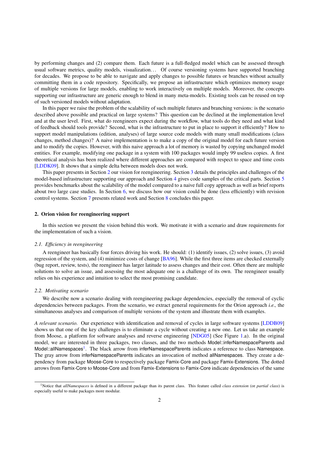by performing changes and (2) compare them. Each future is a full-fledged model which can be assessed through usual software metrics, quality models, visualization... Of course versioning systems have supported branching for decades. We propose to be able to navigate and apply changes to possible futures or branches without actually committing them in a code repository. Specifically, we propose an infrastructure which optimizes memory usage of multiple versions for large models, enabling to work interactively on multiple models. Moreover, the concepts supporting our infrastructure are generic enough to blend in many meta-models. Existing tools can be reused on top of such versioned models without adaptation.

In this paper we raise the problem of the scalability of such multiple futures and branching versions: is the scenario described above possible and practical on large systems? This question can be declined at the implementation level and at the user level. First, what do reengineers expect during the workflow, what tools do they need and what kind of feedback should tools provide? Second, what is the infrastructure to put in place to support it efficiently? How to support model manipulations (edition, analyses) of large source code models with many small modifications (class changes, method changes)? A naive implementation is to make a copy of the original model for each future version and to modify the copies. However, with this naive approach a lot of memory is wasted by copying unchanged model entities. For example, modifying one package in a system with 100 packages would imply 99 useless copies. A first theoretical analysis has been realized where different approaches are compared with respect to space and time costs [LDDK09]. It shows that a simple delta between models does not work.

This paper presents in Section 2 our vision for reengineering. Section 3 details the principles and challenges of the model-based infrastructure supporting our approach and Section 4 gives code samples of the critical parts. Section 5 provides benchmarks about the scalability of the model compared to a naive full copy approach as well as brief reports about two large case studies. In Section 6, we discuss how our vision could be done (less efficiently) with revision control systems. Section 7 presents related work and Section 8 concludes this paper.

#### 2. Orion vision for reengineering support

In this section we present the vision behind this work. We motivate it with a scenario and draw requirements for the implementation of such a vision.

#### *2.1. Efficiency in reengineering*

A reengineer has basically four forces driving his work. He should: (1) identify issues, (2) solve issues, (3) avoid regression of the system, and (4) minimize costs of change [BA96]. While the first three items are checked externally (bug report, review, tests), the reengineer has larger latitude to assess changes and their cost. Often there are multiple solutions to solve an issue, and assessing the most adequate one is a challenge of its own. The reengineer usually relies on his experience and intuition to select the most promising candidate.

#### *2.2. Motivating scenario*

We describe now a scenario dealing with reengineering package dependencies, especially the removal of cyclic dependencies between packages. From the scenario, we extract general requirements for the Orion approach *i.e.,* the simultaneous analyses and comparison of multiple versions of the system and illustrate them with examples.

*A relevant scenario.* Our experience with identification and removal of cycles in large software systems [LDDB09] shows us that one of the key challenges is to eliminate a cycle without creating a new one. Let us take an example from Moose, a platform for software analyses and reverse engineering [NDG05] (See Figure 1.a). In the original model, we are interested in three packages, two classes, and the two methods Model::inferNamespaceParents and Model::allNamespaces<sup>1</sup>. The black arrow from inferNamespaceParents indicates a reference to class Namespace. The gray arrow from inferNamespaceParents indicates an invocation of method allNamespaces. They create a dependency from package Moose-Core to respectively package Famix-Core and package Famix-Extensions. The dotted arrows from Famix-Core to Moose-Core and from Famix-Extensions to Famix-Core indicate dependencies of the same

<sup>1</sup>Notice that *allNamespaces* is defined in a different package than its parent class. This feature called *class extension* (or *partial class*) is especially useful to make packages more modular.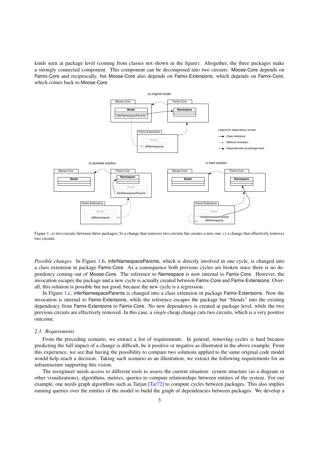kinds seen at package level (coming from classes not shown in the figure). Altogether, the three packages make a strongly connected component. This component can be decomposed into two circuits: Moose-Core depends on Famix-Core and reciprocally, but Moose-Core also depends on Famix-Extensions, which depends on Famix-Core, which comes back to Moose-Core.



Figure 1: a) two circuits between three packages; b) a change that removes two circuits but creates a new one; c) a change that effectively removes two circuits.

*Possible changes.* In Figure 1.b, inferNamespaceParents, which is directly involved in one cycle, is changed into a class extension in package Famix-Core. As a consequence both previous cycles are broken since there is no dependency coming out of Moose-Core. The reference to Namespace is now internal to Famix-Core. However, the invocation escapes the package and a new cycle is actually created between Famix-Core and Famix-Extensions. Overall, this solution is possible but not good, because the new cycle is a regression.

In Figure 1.c, inferNamespaceParents is changed into a class extension in package Famix-Extensions. Now the invocation is internal to Famix-Extensions, while the reference escapes the package but "blends" into the existing dependency from Famix-Extensions to Famix-Core. No new dependency is created at package level, while the two previous circuits are effectively removed. In this case, a *single* cheap change cuts two circuits, which is a very positive outcome.

#### *2.3. Requirements*

From the preceding scenario, we extract a list of requirements. In general, removing cycles is hard because predicting the full impact of a change is difficult, be it positive or negative as illustrated in the above example. From this experience, we see that having the possibility to compare two solutions applied to the same original code model would help reach a decision. Taking such scenario as an illustration, we extract the following requirements for an infrastructure supporting this vision.

The reengineer needs access to different tools to assess the current situation: system structure (as a diagram or other visualizations), algorithms, metrics, queries to compute relationships between entities of the system. For our example, one needs graph algorithms such as Tarjan [Tar72] to compute cycles between packages. This also implies running queries over the entities of the model to build the graph of dependencies between packages. We develop a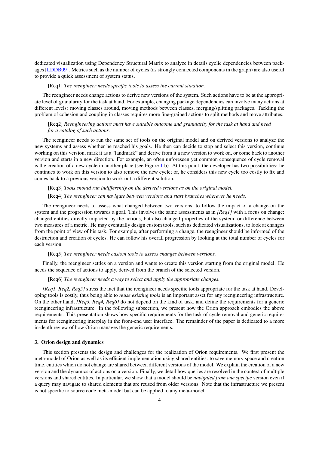dedicated visualization using Dependency Structural Matrix to analyze in details cyclic dependencies between packages [LDDB09]. Metrics such as the number of cycles (as strongly connected components in the graph) are also useful to provide a quick assessment of system status.

#### [Req1] *The reengineer needs specific tools to assess the current situation.*

The reengineer needs change actions to derive new versions of the system. Such actions have to be at the appropriate level of granularity for the task at hand. For example, changing package dependencies can involve many actions at different levels: moving classes around, moving methods between classes, merging/splitting packages. Tackling the problem of cohesion and coupling in classes requires more fine-grained actions to split methods and move attributes.

#### [Req2] *Reengineering actions must have suitable outcome and granularity for the task at hand and need for a catalog of such actions.*

The reengineer needs to run the same set of tools on the original model and on derived versions to analyze the new systems and assess whether he reached his goals. He then can decide to stop and select this version, continue working on this version, mark it as a "landmark" and derive from it a new version to work on, or come back to another version and starts in a new direction. For example, an often unforeseen yet common consequence of cycle removal is the creation of a new cycle in another place (see Figure 1.b). At this point, the developer has two possibilities: he continues to work on this version to also remove the new cycle; or, he considers this new cycle too costly to fix and comes back to a previous version to work out a different solution.

#### [Req3] *Tools should run indifferently on the derived versions as on the original model.*

#### [Req4] *The reengineer can navigate between versions and start branches wherever he needs.*

The reengineer needs to assess what changed between two versions, to follow the impact of a change on the system and the progression towards a goal. This involves the same assessments as in *[Req1]* with a focus on change: changed entities directly impacted by the actions, but also changed properties of the system, or difference between two measures of a metric. He may eventually design custom tools, such as dedicated visualizations, to look at changes from the point of view of his task. For example, after performing a change, the reengineer should be informed of the destruction and creation of cycles. He can follow his overall progression by looking at the total number of cycles for each version.

#### [Req5] *The reengineer needs custom tools to assess changes between versions.*

Finally, the reengineer settles on a version and wants to create this version starting from the original model. He needs the sequence of actions to apply, derived from the branch of the selected version.

#### [Req6] *The reengineer needs a way to select and apply the appropriate changes.*

*[Req1, Req2, Req5]* stress the fact that the reengineer needs specific tools appropriate for the task at hand. Developing tools is costly, thus being able to *reuse existing tools* is an important asset for any reengineering infrastructure. On the other hand, *[Req3, Req4, Req6]* do not depend on the kind of task, and define the requirements for a generic reengineering infrastructure. In the following subsection, we present how the Orion approach embodies the above requirements. This presentation shows how specific requirements for the task of cycle removal and generic requirements for reengineering interplay in the front-end user interface. The remainder of the paper is dedicated to a more in-depth review of how Orion manages the generic requirements.

#### 3. Orion design and dynamics

This section presents the design and challenges for the realization of Orion requirements. We first present the meta-model of Orion as well as its efficient implementation using shared entities: to save memory space and creation time, entities which do not change are shared between different versions of the model. We explain the creation of a new version and the dynamics of actions on a version. Finally, we detail how queries are resolved in the context of multiple versions and shared entities. In particular, we show that a model should be *navigated from one specific* version even if a query may navigate to shared elements that are reused from older versions. Note that the infrastructure we present is not specific to source code meta-model but can be applied to any meta-model.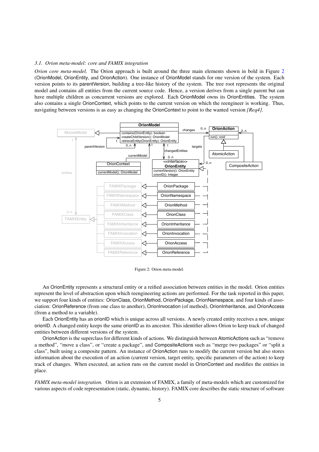#### *3.1. Orion meta-model: core and FAMIX integration*

*Orion core meta-model.* The Orion approach is built around the three main elements shown in bold in Figure 2 (OrionModel, OrionEntity, and OrionAction). One instance of OrionModel stands for one version of the system. Each version points to its parentVersion, building a tree-like history of the system. The tree root represents the original model and contains all entities from the current source code. Hence, a version derives from a single parent but can have multiple children as concurrent versions are explored. Each OrionModel owns its OrionEntities. The system also contains a single OrionContext, which points to the current version on which the reengineer is working. Thus, navigating between versions is as easy as changing the OrionContext to point to the wanted version *[Req4]*.



Figure 2: Orion meta-model.

An OrionEntity represents a structural entity or a reified association between entities in the model. Orion entities represent the level of abstraction upon which reengineering actions are performed. For the task reported in this paper, we support four kinds of entities: OrionClass, OrionMethod, OrionPackage, OrionNamespace, and four kinds of association: OrionReference (from one class to another), OrionInvocation (of method), OrionInheritance, and OrionAccess (from a method to a variable).

Each OrionEntity has an orionID which is unique across all versions. A newly created entity receives a new, unique orionID. A changed entity keeps the same orionID as its ancestor. This identifier allows Orion to keep track of changed entities between different versions of the system.

OrionAction is the superclass for different kinds of actions. We distinguish between AtomicActions such as "remove a method", "move a class", or "create a package", and CompositeActions such as "merge two packages" or "split a class", built using a composite pattern. An instance of OrionAction runs to modify the current version but also stores information about the execution of an action (current version, target entity, specific parameters of the action) to keep track of changes. When executed, an action runs on the current model in OrionContext and modifies the entities in place.

*FAMIX meta-model integration.* Orion is an extension of FAMIX, a family of meta-models which are customized for various aspects of code representation (static, dynamic, history). FAMIX core describes the static structure of software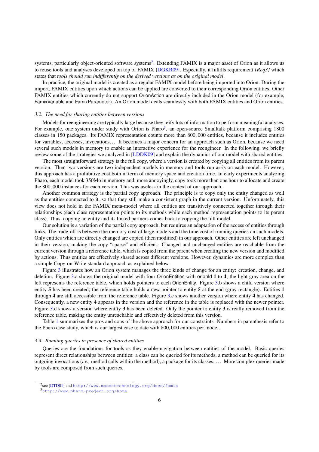systems, particularly object-oriented software systems<sup>2</sup>. Extending FAMIX is a major asset of Orion as it allows us to reuse tools and analyses developed on top of FAMIX [DGKR09]. Especially, it fulfills requirement *[Req3]* which states that *tools should run indifferently on the derived versions as on the original model*.

In practice, the original model is created as a regular FAMIX model before being imported into Orion. During the import, FAMIX entities upon which actions can be applied are converted to their corresponding Orion entities. Other FAMIX entities which currently do not support OrionAction are directly included in the Orion model (for example, FamixVariable and FamixParameter). An Orion model deals seamlessly with both FAMIX entities and Orion entities.

#### *3.2. The need for sharing entities between versions*

Models for reengineering are typically large because they reify lots of information to perform meaningful analyses. For example, one system under study with Orion is Pharo<sup>3</sup>, an open-source Smalltalk platform comprising 1800 classes in <sup>150</sup> packages. Its FAMIX representation counts more than <sup>800</sup>, <sup>000</sup> entities, because it includes entities for variables, accesses, invocations. . . It becomes a major concern for an approach such as Orion, because we need several such models in memory to enable an interactive experience for the reengineer. In the following, we briefly review some of the strategies we analyzed in [LDDK09] and explain the dynamics of our model with shared entities.

The most straightforward strategy is the full copy, where a version is created by copying all entities from its parent version. Then two versions are two independent models in memory and tools run as-is on each model. However, this approach has a prohibitive cost both in term of memory space and creation time. In early experiments analyzing Pharo, each model took 350Mo in memory and, more annoyingly, copy took more than one hour to allocate and create the <sup>800</sup>, <sup>000</sup> instances for each version. This was useless in the context of our approach.

Another common strategy is the partial copy approach. The principle is to copy only the entity changed as well as the entities connected to it, so that they still make a consistent graph in the current version. Unfortunately, this view does not hold in the FAMIX meta-model where all entities are transitively connected together through their relationships (each class representation points to its methods while each method representation points to its parent class). Thus, copying an entity and its linked partners comes back to copying the full model.

Our solution is a variation of the partial copy approach, but requires an adaptation of the access of entities through links. The trade-off is between the memory cost of large models and the time cost of running queries on such models. Only entities which are directly changed are copied (then modified) in our approach. Other entities are left unchanged in their version, making the copy "sparse" and efficient. Changed and unchanged entities are reachable from the current version through a reference table, which is copied from the parent when creating the new version and modified by actions. Thus entities are effectively shared across different versions. However, dynamics are more complex than a simple Copy-on-Write standard approach as explained below.

Figure 3 illustrates how an Orion system manages the three kinds of change for an entity: creation, change, and deletion. Figure 3.a shows the original model with four OrionEntities with orionId 1 to 4; the light gray area on the left represents the reference table, which holds pointers to each OrionEntity. Figure 3.b shows a child version where entity 5 has been created; the reference table holds a new pointer to entity 5 at the end (gray rectangle). Entities 1 through 4 are still accessible from the reference table. Figure 3.c shows another version where entity 4 has changed. Consequently, a new entity 4 appears in the version and the reference in the table is replaced with the newer pointer. Figure 3.d shows a version where entity 3 has been deleted. Only the pointer to entity 3 is really removed from the reference table, making the entity unreachable and effectively deleted from this version.

Table 1 summarizes the pros and cons of the above approach for our constraints. Numbers in parenthesis refer to the Pharo case study, which is our largest case to date with <sup>800</sup>, <sup>000</sup> entities per model.

#### *3.3. Running queries in presence of shared entities*

Queries are the foundations for tools as they enable navigation between entities of the model. Basic queries represent direct relationships between entities: a class can be queried for its methods, a method can be queried for its outgoing invocations (*i.e.,* method calls within the method), a package for its classes, . . . More complex queries made by tools are composed from such queries.

<sup>2</sup> see [DTD01] and <http://www.moosetechnology.org/docs/famix>

<sup>3</sup><http://www.pharo-project.org/home>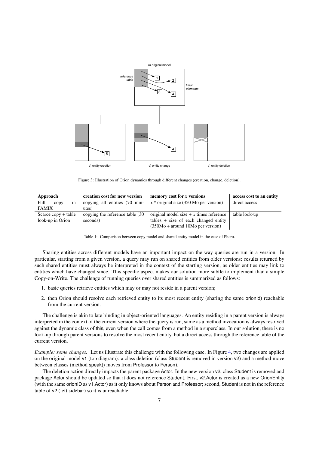

Figure 3: Illustration of Orion dynamics through different changes (creation, change, deletion).

| Approach            | creation cost for new version   | memory cost for x versions               | access cost to an entity |
|---------------------|---------------------------------|------------------------------------------|--------------------------|
| Full<br>in<br>copy  | copying all entities (70 min-   | $x^*$ original size (350 Mo per version) | direct access            |
| <b>FAMIX</b>        | utes)                           |                                          |                          |
| Scarce copy + table | copying the reference table (30 | original model size $+x$ times reference | table look-up            |
| look-up in Orion    | seconds)                        | $tables + size of each changed entity$   |                          |
|                     |                                 | $(350Mo + around 10Mo per version)$      |                          |

Table 1: Comparison between copy model and shared entity model in the case of Pharo.

Sharing entities across different models have an important impact on the way queries are run in a version. In particular, starting from a given version, a query may run on shared entities from older versions: results returned by such shared entities must always be interpreted in the context of the starting version, as older entities may link to entities which have changed since. This specific aspect makes our solution more subtle to implement than a simple Copy-on-Write. The challenge of running queries over shared entities is summarized as follows:

- 1. basic queries retrieve entities which may or may not reside in a parent version;
- 2. then Orion should resolve each retrieved entity to its most recent entity (sharing the same orionId) reachable from the current version.

The challenge is akin to late binding in object-oriented languages. An entity residing in a parent version is always interpreted in the context of the current version where the query is run, same as a method invocation is always resolved against the dynamic class of this, even when the call comes from a method in a superclass. In our solution, there is no look-up through parent versions to resolve the most recent entity, but a direct access through the reference table of the current version.

*Example: some changes.* Let us illustrate this challenge with the following case. In Figure 4, two changes are applied on the original model v1 (top diagram): a class deletion (class Student is removed in version v2) and a method move between classes (method speak() moves from Professor to Person).

The deletion action directly impacts the parent package Actor. In the new version v2, class Student is removed and package Actor should be updated so that it does not reference Student. First, v2.Actor is created as a new OrionEntity (with the same orionID as v1.Actor) as it only knows about Person and Professor; second, Student is not in the reference table of v2 (left sidebar) so it is unreachable.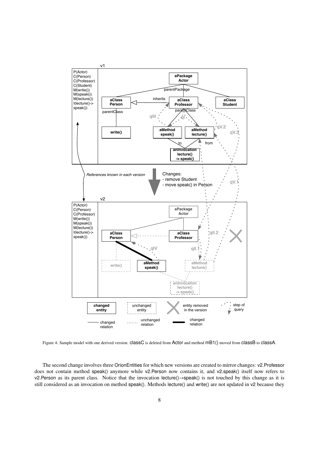

Figure 4: Sample model with one derived version: classC is deleted from Actor and method mB1() moved from classB to classA.

The second change involves three OrionEntities for which new versions are created to mirror changes: v2.Professor does not contain method speak() anymore while v2.Person now contains it, and v2.speak() itself now refers to v2.Person as its parent class. Notice that the invocation lecture()→speak() is not touched by this change as it is still considered as an invocation on method speak(). Methods lecture() and write() are not updated in v2 because they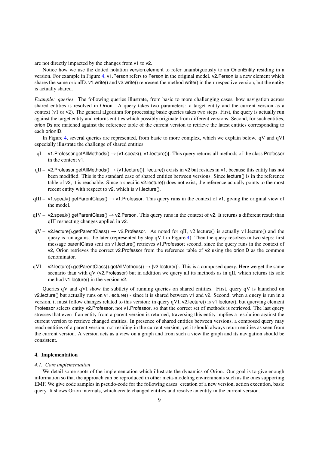are not directly impacted by the changes from v1 to v2.

Notice how we use the dotted notation version.element to refer unambiguously to an OrionEntity residing in a version. For example in Figure 4, v1.Person refers to Person in the original model. v2.Person is a new element which shares the same orionID. v1.write() and v2.write() represent the method write() in their respective version, but the entity is actually shared.

*Example: queries.* The following queries illustrate, from basic to more challenging cases, how navigation across shared entities is resolved in Orion. A query takes two parameters: a target entity and the current version as a context (v1 or v2). The general algorithm for processing basic queries takes two steps. First, the query is actually run against the target entity and returns entities which possibly originate from different versions. Second, for such entities, orionIDs are matched against the reference table of the current version to retrieve the latest entities corresponding to each orionID.

In Figure 4, several queries are represented, from basic to more complex, which we explain below. qV and qVI especially illustrate the challenge of shared entities.

- qI v1.Professor.getAllMethods() → {v1.speak(), v1.lecture()}. This query returns all methods of the class Professor in the context v1.
- $qII v2$ .Professor.getAllMethods()  $\rightarrow$  {v1.lecture()}. lecture() exists in v2 but resides in v1, because this entity has not been modified. This is the standard case of shared entities between versions. Since lecture() is in the reference table of v2, it is reachable. Since a specific v2.lecture() does not exist, the reference actually points to the most recent entity with respect to v2, which is v1.lecture().
- $qIII v1$ .speak().getParentClass()  $\rightarrow v1$ .Professor. This query runs in the context of v1, giving the original view of the model.
- $qIV v2$ .speak().getParentClass()  $\rightarrow v2$ .Person. This query runs in the context of v2. It returns a different result than qIII respecting changes applied in v2.
- $qV v2$ .lecture().getParentClass()  $\rightarrow$  v2.Professor. As noted for qII, v2.lecture() is actually v1.lecture() and the query is run against the later (represented by step qV.1 in Figure 4). Then the query resolves in two steps: first message parentClass sent on v1.lecture() retrieves v1.Professor; second, since the query runs in the context of v2, Orion retrieves the correct v2.Professor from the reference table of v2 using the orionID as the common denominator.
- $qVI v2$ .lecture().getParentClass().getAllMethods()  $\rightarrow$  {v2.lecture()}. This is a composed query. Here we get the same scenario than with qV (v2.Professor) but in addition we query all its methods as in qII, which returns its sole method v1.lecture() in the version v2.

Queries qV and qVI show the subtlety of running queries on shared entities. First, query qV is launched on v2.lecture() but actually runs on v1.lecture() - since it is shared between v1 and v2. Second, when a query is run in a version, it must follow changes related to this version: in query qVI, v2.lecture() is v1.lecture(), but querying element Professor selects entity v2.Professor, not v1.Professor, so that the correct set of methods is retrieved. The last query stresses that even if an entity from a parent version is returned, traversing this entity implies a resolution against the current version to retrieve changed entities. In presence of shared entities between versions, a composed query may reach entities of a parent version, not residing in the current version, yet it should always return entities as seen from the current version. A version acts as a view on a graph and from such a view the graph and its navigation should be consistent.

#### 4. Implementation

#### *4.1. Core implementation*

We detail some spots of the implementation which illustrate the dynamics of Orion. Our goal is to give enough information so that the approach can be reproduced in other meta-modeling environments such as the ones supporting EMF. We give code samples in pseudo-code for the following cases: creation of a new version, action execution, basic query. It shows Orion internals, which create changed entities and resolve an entity in the current version.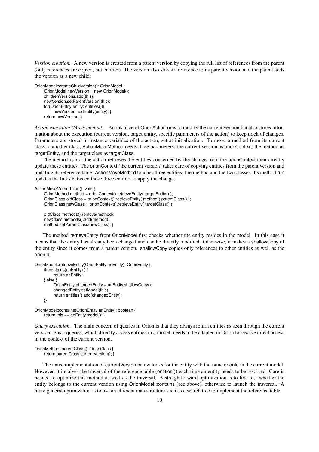*Version creation.* A new version is created from a parent version by copying the full list of references from the parent (only references are copied, not entities). The version also stores a reference to its parent version and the parent adds the version as a new child:

```
OrionModel::createChildVersion(): OrionModel {
     OrionModel newVersion = new OrionModel();
     childrenVersions.add(this);
    newVersion.setParentVersion(this);
     for(OrionEntity entity: entities()){
          newVersion.addEntity(entity); }
    return newVersion; }
```
*Action execution (Move method).* An instance of OrionAction runs to modify the current version but also stores information about the execution (current version, target entity, specific parameters of the action) to keep track of changes. Parameters are stored in instance variables of the action, set at initialization. To move a method from its current class to another class, ActionMoveMethod needs three parameters: the current version as orionContext, the method as targetEntity, and the target class as targetClass.

The method run of the action retrieves the entities concerned by the change from the orionContext then directly update these entities. The orionContext (the current version) takes care of copying entities from the parent version and updating its reference table. ActionMoveMethod touches three entities: the method and the two classes. Its method run updates the links between those three entities to apply the change.

```
ActionMoveMethod::run(): void {
```

```
OrionMethod method = orionContext().retrieveEntity( targetEntity() );
OronClass oldClass = orionContext(). retrieveEntity(method(). parentClass() );
OrionClass newClass = orionContext().retrieveEntity( targetClass() );
oldClass.methods().remove(method);
```
newClass.methods().add(method); method.setParentClass(newClass); }

The method retrieveEntity from OrionModel first checks whether the entity resides in the model. In this case it means that the entity has already been changed and can be directly modified. Otherwise, it makes a shallowCopy of the entity since it comes from a parent version. shallowCopy copies only references to other entities as well as the orionId.

```
OrionModel::retrieveEntity(OrionEntity anEntity): OrionEntity {
     if( contains(anEntity) ) {
          return anEntity;
     } else {
          OrionEntity changedEntity = anEntity.shallowCopy();
          changedEntity.setModel(this);
          return entities().add(changedEntity);
     }}
```

```
OrionModel::contains(OrionEntity anEntity): boolean {
    return this == anEntity.model(); \}
```
*Query execution.* The main concern of queries in Orion is that they always return entities as seen through the current version. Basic queries, which directly access entities in a model, needs to be adapted in Orion to resolve direct access in the context of the current version.

```
OrionMethod::parentClass(): OrionClass {
    return parentClass.currentVersion(); }
```
The naive implementation of current Version below looks for the entity with the same orionId in the current model. However, it involves the traversal of the reference table (entities()) each time an entity needs to be resolved. Care is needed to optimize this method as well as the traversal. A straightforward optimization is to first test whether the entity belongs to the current version using OrionModel::contains (see above), otherwise to launch the traversal. A more general optimization is to use an efficient data structure such as a search tree to implement the reference table.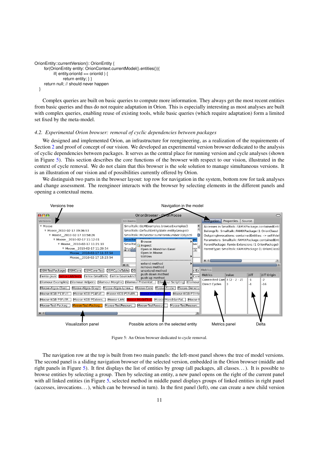```
OrionEntity::currentVersion(): OrionEntity {
     for(OrionEntity entity: OrionContext.currentModel().entities()){
          if( entity.orionId == orionId ) {
                return entity; } }
     return null; // should never happen
  }
```
Complex queries are built on basic queries to compute more information. They always get the most recent entities from basic queries and thus do not require adaptation in Orion. This is especially interesting as most analyses are built with complex queries, enabling reuse of existing tools, while basic queries (which require adaptation) form a limited set fixed by the meta-model.

#### *4.2. Experimental Orion browser: removal of cyclic dependencies between packages*

We designed and implemented Orion, an infrastructure for reengineering, as a realization of the requirements of Section 2 and proof of concept of our vision. We developed an experimental version browser dedicated to the analysis of cyclic dependencies between packages. It serves as the central place for running version and cycle analyses (shown in Figure 5). This section describes the core functions of the browser with respect to our vision, illustrated in the context of cycle removal. We do not claim that this browser is the sole solution to manage simultaneous versions. It is an illustration of our vision and of possibilities currently offered by Orion.

We distinguish two parts in the browser layout: top row for navigation in the system, bottom row for task analyses and change assessment. The reengineer interacts with the browser by selecting elements in the different panels and opening a contextual menu.



Figure 5: An Orion browser dedicated to cycle removal.

The navigation row at the top is built from two main panels: the left-most panel shows the tree of model versions. The second panel is a sliding navigation browser of the selected version, embedded in the Orion browser (middle and right panels in Figure 5). It first displays the list of entities by group (all packages, all classes. . . ). It is possible to browse entities by selecting a group. Then by selecting an entity, a new panel opens on the right of the current panel with all linked entities (in Figure 5, selected method in middle panel displays groups of linked entities in right panel (accesses, invocations. . . ), which can be browsed in turn). In the first panel (left), one can create a new child version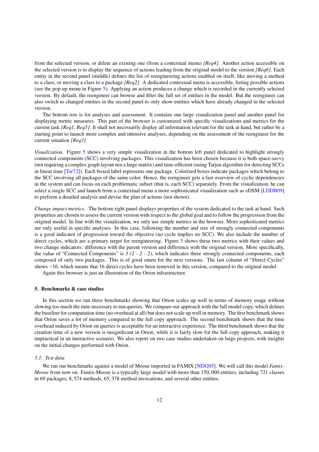from the selected version, or delete an existing one (from a contextual menu) *[Req4]*. Another action accessible on the selected version is to display the sequence of actions leading from the original model to the version *[Req6]*. Each entity in the second panel (middle) defines the list of reengineering actions enabled on itself, like moving a method to a class, or moving a class to a package *[Req2]*. A dedicated contextual menu is accessible, listing possible actions (see the pop-up menu in Figure 5). Applying an action produces a change which is recorded in the currently selected version. By default, the reengineer can browse and filter the full set of entities in the model. But the reengineer can also switch to changed entities in the second panel to only show entities which have already changed in the selected version.

The bottom row is for analyses and assessment. It contains one large visualization panel and another panel for displaying metric measures. This part of the browser is customized with specific visualizations and metrics for the current task *[Req1, Req5]*. It shall not necessarily display all information relevant for the task at hand, but rather be a starting point to launch more complex and intensive analyses, depending on the assessment of the reengineer for the current situation *[Req3]*.

*Visualization.* Figure 5 shows a very simple visualization in the bottom left panel dedicated to highlight strongly connected components (SCC) involving packages. This visualization has been chosen because it is both space-savvy (not requiring a complex graph layout nor a large matrix) and time-efficient (using Tarjan algorithm for detecting SCCs in linear time [Tar72]). Each boxed label represents one package. Colorized boxes indicate packages which belong to the SCC involving all packages of the same color. Hence, the reengineer gets a fast overview of cyclic dependencies in the system and can focus on each problematic subset (that is, each SCC) separately. From the visualization, he can select a single SCC and launch from a contextual menu a more sophisticated visualization such as eDSM [LDDB09] to perform a detailed analysis and devise the plan of actions (not shown).

*Change impact metrics.* The bottom right panel displays properties of the system dedicated to the task at hand. Such properties are chosen to assess the current version with respect to the global goal and to follow the progression from the original model. In line with the visualization, we only use simple metrics in the browser. More sophisticated metrics are only useful in specific analyses. In this case, following the number and size of strongly connected components is a good indicator of progression toward the objective (no cycle implies no SCC). We also include the number of direct cycles, which are a primary target for reengineering. Figure 5 shows these two metrics with their values and two change indicators: difference with the parent version and difference with the original version. More specifically, the value of "Connected Components" is *3 (2 - 2 - 2)*, which indicates three strongly connected components, each composed of only two packages. This is of good omen for the next versions. The last column of "Direct Cycles" shows −16, which means that 16 direct cycles have been removed in this version, compared to the original model.

Again this browser is just an illustration of the Orion infrastructure.

#### 5. Benchmarks & case studies

In this section we run three benchmarks showing that Orion scales up well in terms of memory usage without slowing too much the time necessary to run queries. We compare our approach with the full model copy, which defines the baseline for computation time (no overhead at all) but does not scale up well in memory. The first benchmark shows that Orion saves a lot of memory compared to the full copy approach. The second benchmark shows that the time overhead induced by Orion on queries is acceptable for an interactive experience. The third benchmark shows that the creation time of a new version is insignificant in Orion, while it is fairly slow for the full copy approach, making it impractical in an interactive scenario. We also report on two case studies undertaken on large projects, with insights on the initial changes performed with Orion.

#### *5.1. Test data*

We ran our benchmarks against a model of Moose imported in FAMIX [NDG05]. We will call this model *Famix-Moose* from now on. Famix-Moose is a typically large model with more than <sup>150</sup>, <sup>000</sup> entities, including <sup>721</sup> classes in <sup>69</sup> packages, <sup>8</sup>, <sup>574</sup> methods, <sup>65</sup>, <sup>378</sup> method invocations, and several other entities.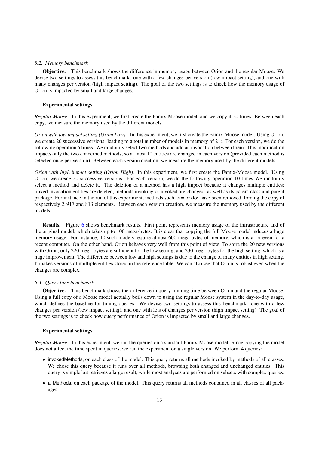#### *5.2. Memory benchmark*

Objective. This benchmark shows the difference in memory usage between Orion and the regular Moose. We devise two settings to assess this benchmark: one with a few changes per version (low impact setting), and one with many changes per version (high impact setting). The goal of the two settings is to check how the memory usage of Orion is impacted by small and large changes.

#### Experimental settings

*Regular Moose.* In this experiment, we first create the Famix-Moose model, and we copy it 20 times. Between each copy, we measure the memory used by the different models.

*Orion with low impact setting (Orion Low).* In this experiment, we first create the Famix-Moose model. Using Orion, we create 20 successive versions (leading to a total number of models in memory of 21). For each version, we do the following operation 5 times: We randomly select two methods and add an invocation between them. This modification impacts only the two concerned methods, so at most 10 entities are changed in each version (provided each method is selected once per version). Between each version creation, we measure the memory used by the different models.

*Orion with high impact setting (Orion High).* In this experiment, we first create the Famix-Moose model. Using Orion, we create 20 successive versions. For each version, we do the following operation 10 times We randomly select a method and delete it. The deletion of a method has a high impact because it changes multiple entities: linked invocation entities are deleted, methods invoking or invoked are changed, as well as its parent class and parent package. For instance in the run of this experiment, methods such as  $=$  or **do:** have been removed, forcing the copy of respectively <sup>2</sup>, <sup>917</sup> and <sup>813</sup> elements. Between each version creation, we measure the memory used by the different models.

Results. Figure 6 shows benchmark results. First point represents memory usage of the infrastructure and of the original model, which takes up to 100 mega-bytes. It is clear that copying the full Moose model induces a huge memory usage. For instance, 10 such models require almost 600 mega-bytes of memory, which is a lot even for a recent computer. On the other hand, Orion behaves very well from this point of view. To store the 20 new versions with Orion, only 220 mega-bytes are sufficient for the low setting, and 230 mega-bytes for the high setting, which is a huge improvement. The difference between low and high settings is due to the change of many entities in high setting. It makes versions of multiple entities stored in the reference table. We can also see that Orion is robust even when the changes are complex.

#### *5.3. Query time benchmark*

Objective. This benchmark shows the difference in query running time between Orion and the regular Moose. Using a full copy of a Moose model actually boils down to using the regular Moose system in the day-to-day usage, which defines the baseline for timing queries. We devise two settings to assess this benchmark: one with a few changes per version (low impact setting), and one with lots of changes per version (high impact setting). The goal of the two settings is to check how query performance of Orion is impacted by small and large changes.

#### Experimental settings

*Regular Moose.* In this experiment, we run the queries on a standard Famix-Moose model. Since copying the model does not affect the time spent in queries, we run the experiment on a single version. We perform 4 queries:

- invokedMethods, on each class of the model. This query returns all methods invoked by methods of all classes. We chose this query because it runs over all methods, browsing both changed and unchanged entities. This query is simple but retrieves a large result, while most analyses are performed on subsets with complex queries.
- allMethods, on each package of the model. This query returns all methods contained in all classes of all packages.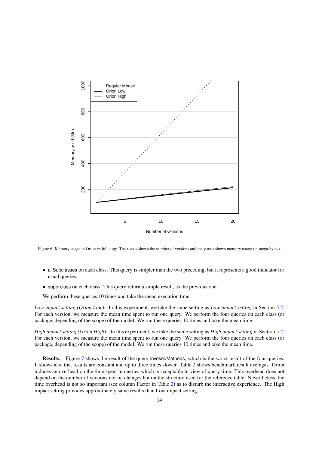

Figure 6: Memory usage in Orion vs full copy. The x-axis shows the number of versions and the y-axis shows memory usage (in mega-bytes).

- allSubclasses on each class. This query is simpler than the two preceding, but it represents a good indicator for usual queries.
- superclass on each class. This query return a simple result, as the previous one.

We perform these queries 10 times and take the mean execution time.

*Low impact setting (Orion Low).* In this experiment, we take the same setting as *Low impact setting* in Section 5.2. For each version, we measure the mean time spent to run one query. We perform the four queries on each class (or package, depending of the scope) of the model. We run these queries 10 times and take the mean time.

*High impact setting (Orion High).* In this experiment, we take the same setting as *High impact setting* in Section 5.2. For each version, we measure the mean time spent to run one query. We perform the four queries on each class (or package, depending of the scope) of the model. We run these queries 10 times and take the mean time.

Results. Figure 7 shows the result of the query invokedMethods, which is the worst result of the four queries. It shows also that results are constant and up to three times slower. Table 2 shows benchmark result averages. Orion induces an overhead on the time spent in queries which is acceptable in view of query time. This overhead does not depend on the number of versions nor on changes but on the structure used for the reference table. Nevertheless, the time overhead is not so important (see column Factor in Table 2) as to disturb the interactive experience. The High impact setting provides approximately same results than Low impact setting.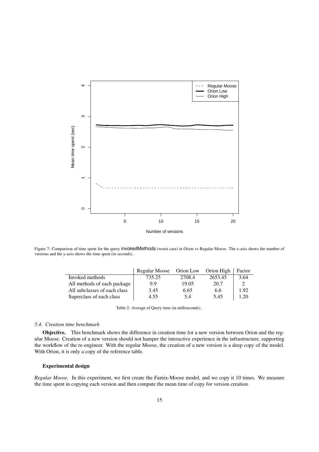

Figure 7: Comparison of time spent for the query invokedMethods (worst case) in Orion vs Regular Moose. The x-axis shows the number of versions and the y-axis shows the time spent (in seconds).

|                              | Regular Moose | Orion Low | Orion High | Factor |
|------------------------------|---------------|-----------|------------|--------|
| Invoked methods              | 735.25        | 2708.4    | 2653.45    | 3.64   |
| All methods of each package  | 9.9           | 19.05     | 20.7       |        |
| All subclasses of each class | 3.45          | 6.65      | 6.6        | 1.92   |
| Superclass of each class     | 4.55          | 5.4       | 5.45       | 1.20   |

Table 2: Average of Query time (in milliseconds) .

#### *5.4. Creation time benchmark*

Objective. This benchmark shows the difference in creation time for a new version between Orion and the regular Moose. Creation of a new version should not hamper the interactive experience in the infrastructure, supporting the workflow of the re-engineer. With the regular Moose, the creation of a new version is a deep copy of the model. With Orion, it is only a copy of the reference table.

#### Experimental design

*Regular Moose.* In this experiment, we first create the Famix-Moose model, and we copy it 10 times. We measure the time spent in copying each version and then compute the mean time of copy for version creation.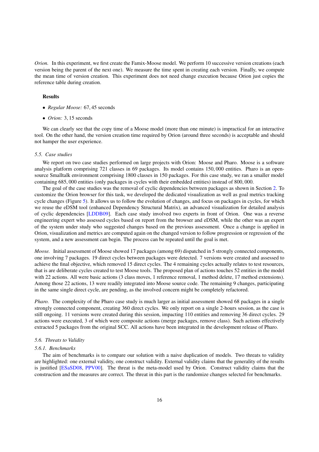*Orion.* In this experiment, we first create the Famix-Moose model. We perform 10 successive version creations (each version being the parent of the next one). We measure the time spent in creating each version. Finally, we compute the mean time of version creation. This experiment does not need change execution because Orion just copies the reference table during creation.

#### Results

- *Regular Moose:* <sup>67</sup>, <sup>45</sup> seconds
- *Orion:* <sup>3</sup>, <sup>15</sup> seconds

We can clearly see that the copy time of a Moose model (more than one minute) is impractical for an interactive tool. On the other hand, the version creation time required by Orion (around three seconds) is acceptable and should not hamper the user experience.

#### *5.5. Case studies*

We report on two case studies performed on large projects with Orion: Moose and Pharo. Moose is a software analysis platform comprising 721 classes in 69 packages. Its model contains <sup>150</sup>, <sup>000</sup> entities. Pharo is an opensource Smalltalk environment comprising 1800 classes in 150 packages. For this case study, we ran a smaller model containing <sup>685</sup>, <sup>000</sup> entities (only packages in cycles with their embedded entities) instead of <sup>800</sup>, 000.

The goal of the case studies was the removal of cyclic dependencies between packages as shown in Section 2. To customize the Orion browser for this task, we developed the dedicated visualization as well as goal metrics tracking cycle changes (Figure 5). It allows us to follow the evolution of changes, and focus on packages in cycles, for which we reuse the eDSM tool (enhanced Dependency Structural Matrix), an advanced visualization for detailed analysis of cyclic dependencies [LDDB09]. Each case study involved two experts in front of Orion. One was a reverse engineering expert who assessed cycles based on report from the browser and eDSM, while the other was an expert of the system under study who suggested changes based on the previous assessment. Once a change is applied in Orion, visualization and metrics are computed again on the changed version to follow progression or regression of the system, and a new assessment can begin. The process can be repeated until the goal is met.

*Moose.* Initial assessment of Moose showed 17 packages (among 69) dispatched in 5 strongly connected components, one involving 7 packages. 19 direct cycles between packages were detected. 7 versions were created and assessed to achieve the final objective, which removed 15 direct cycles. The 4 remaining cycles actually relates to test resources, that is are deliberate cycles created to test Moose tools. The proposed plan of actions touches 52 entities in the model with 22 actions. All were basic actions (3 class moves, 1 reference removal, 1 method delete, 17 method extensions). Among those 22 actions, 13 were readily integrated into Moose source code. The remaining 9 changes, participating in the same single direct cycle, are pending, as the involved concern might be completely refactored.

*Pharo.* The complexity of the Pharo case study is much larger as initial assessment showed 68 packages in a single strongly connected component, creating 360 direct cycles. We only report on a single 2-hours session, as the case is still ongoing. 11 versions were created during this session, impacting 110 entities and removing 36 direct cycles. 29 actions were executed, 3 of which were composite actions (merge packages, remove class). Such actions effectively extracted 5 packages from the original SCC. All actions have been integrated in the development release of Pharo.

#### *5.6. Threats to Validity*

#### *5.6.1. Benchmarks*

The aim of benchmarks is to compare our solution with a naive duplication of models. Two threats to validity are highlighted: one external validity, one construct validity. External validity claims that the generality of the results is justified [ESaSD08, PPV00]. The threat is the meta-model used by Orion. Construct validity claims that the construction and the measures are correct. The threat in this part is the randomize changes selected for benchmarks.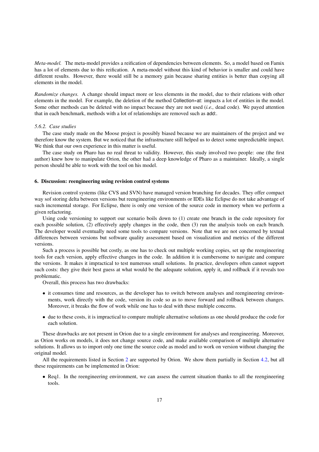*Meta-model.* The meta-model provides a reification of dependencies between elements. So, a model based on Famix has a lot of elements due to this reification. A meta-model without this kind of behavior is smaller and could have different results. However, there would still be a memory gain because sharing entities is better than copying all elements in the model.

*Randomize changes.* A change should impact more or less elements in the model, due to their relations with other elements in the model. For example, the deletion of the method Collection»at: impacts a lot of entities in the model. Some other methods can be deleted with no impact because they are not used (*i.e.,* dead code). We payed attention that in each benchmark, methods with a lot of relationships are removed such as add:.

#### *5.6.2. Case studies*

The case study made on the Moose project is possibly biased because we are maintainers of the project and we therefore know the system. But we noticed that the infrastructure still helped us to detect some unpredictable impact. We think that our own experience in this matter is useful.

The case study on Pharo has no real threat to validity. However, this study involved two people: one (the first author) knew how to manipulate Orion, the other had a deep knowledge of Pharo as a maintainer. Ideally, a single person should be able to work with the tool on his model.

#### 6. Discussion: reengineering using revision control systems

Revision control systems (like CVS and SVN) have managed version branching for decades. They offer compact way sof storing delta between versions but reengineering environments or IDEs like Eclipse do not take advantage of such incremental storage. For Eclipse, there is only one version of the source code in memory when we perform a given refactoring.

Using code versioning to support our scenario boils down to (1) create one branch in the code repository for each possible solution, (2) effectively apply changes in the code, then (3) run the analysis tools on each branch. The developer would eventually need some tools to compare versions. Note that we are not concerned by textual differences between versions but software quality assessment based on visualization and metrics of the different versions.

Such a process is possible but costly, as one has to check out multiple working copies, set up the reengineering tools for each version, apply effective changes in the code. In addition it is cumbersome to navigate and compare the versions. It makes it impractical to test numerous small solutions. In practice, developers often cannot support such costs: they give their best guess at what would be the adequate solution, apply it, and rollback if it reveals too problematic.

Overall, this process has two drawbacks:

- it consumes time and resources, as the developer has to switch between analyses and reengineering environments, work directly with the code, version its code so as to move forward and rollback between changes. Moreover, it breaks the flow of work while one has to deal with these multiple concerns.
- due to these costs, it is impractical to compare multiple alternative solutions as one should produce the code for each solution.

These drawbacks are not present in Orion due to a single environment for analyses and reengineering. Moreover, as Orion works on models, it does not change source code, and make available comparison of multiple alternative solutions. It allows us to import only one time the source code as model and to work on version without changing the original model.

All the requirements listed in Section 2 are supported by Orion. We show them partially in Section 4.2, but all these requirements can be implemented in Orion:

• Req1. In the reengineering environment, we can assess the current situation thanks to all the reengineering tools.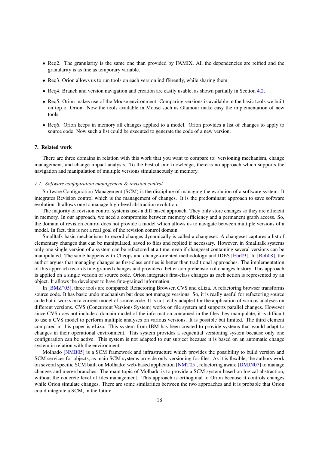- Req2. The granularity is the same one than provided by FAMIX. All the dependencies are reified and the granularity is as fine as temporary variable.
- Req3. Orion allows us to run tools on each version indifferently, while sharing them.
- Req4. Branch and version navigation and creation are easily usable, as shown partially in Section 4.2.
- Req5. Orion makes use of the Moose environment. Comparing versions is available in the basic tools we built on top of Orion. Now the tools available in Moose such as Glamour make easy the implementation of new tools.
- Req6. Orion keeps in memory all changes applied to a model. Orion provides a list of changes to apply to source code. Now such a list could be executed to generate the code of a new version.

#### 7. Related work

There are three domains in relation with this work that you want to compare to: versioning mechanism, change management, and change impact analysis. To the best of our knowledge, there is no approach which supports the navigation and manipulation of multiple versions simultaneously in memory.

#### *7.1. Software configuration management & revision control*

Software Configuration Management (SCM) is the discipline of managing the evolution of a software system. It integrates Revision control which is the management of changes. It is the predominant approach to save software evolution. It allows one to manage high-level abstraction evolution.

The majority of revision control systems uses a diff based approach. They only store changes so they are efficient in memory. In our approach, we need a compromise between memory efficiency and a permanent graph access. So, the domain of revision control does not provide a model which allows us to navigate between multiple versions of a model. In fact, this is not a real goal of the revision control domain.

Smalltalk basic mechanisms to record changes dynamically is called a changeset. A changeset captures a list of elementary changes that can be manipulated, saved to files and replied if necessary. However, in Smalltalk systems only one single version of a system can be refactored at a time, even if changeset containing several versions can be manipulated. The same happens with Cheops and change-oriented methodology and IDES [Ebr09]. In [Rob08], the author argues that managing changes as first-class entities is better than traditional approaches. The implementation of this approach records fine-grained changes and provides a better comprehension of changes history. This approach is applied on a single version of source code. Orion integrates first-class changes as each action is represented by an object. It allows the developer to have fine-grained information.

In [BMZ+05], three tools are compared: Refactoring Browser, CVS and eLiza. A refactoring browser transforms source code. It has basic undo mechanism but does not manage versions. So, it is really useful for refactoring source code but it works on a current model of source code. It is not really adapted for the application of various analyses on different versions. CVS (Concurrent Versions System) works on file system and supports parallel changes. However since CVS does not include a domain model of the information contained in the files they manipulate, it is difficult to use a CVS model to perform multiple analyses on various versions. It is possible but limited. The third element compared in this paper is eLiza. This system from IBM has been created to provide systems that would adapt to changes in their operational environment. This system provides a sequential versioning system because only one configuration can be active. This system is not adapted to our subject because it is based on an automatic change system in relation with the environment.

Molhado [NMB05] is a SCM framework and infrastructure which provides the possibility to build version and SCM services for objects, as main SCM systems provide only versioning for files. As it is flexible, the authors work on several specific SCM built on Molhado: web-based application [NMT05], refactoring aware [DMJN07] to manage changes and merge branches. The main topic of Molhado is to provide a SCM system based on logical abstraction, without the concrete level of files management. This approach is orthogonal to Orion because it controls changes while Orion simulate changes. There are some similarities between the two approaches and it is probable that Orion could integrate a SCM, in the future.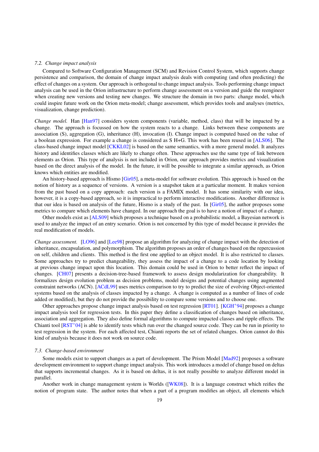#### *7.2. Change impact analysis*

Compared to Software Configuration Management (SCM) and Revision Control System, which supports change persistence and comparison, the domain of change impact analysis deals with computing (and often predicting) the effect of changes on a system. Our approach is orthogonal to change impact analysis. Tools performing change impact analysis can be used in the Orion infrastructure to perform change assessment on a version and guide the reengineer when creating new versions and testing new changes. We structure the domain in two parts: change model, which could inspire future work on the Orion meta-model; change assessment, which provides tools and analyses (metrics, visualization, change prediction).

*Change model.* Han [Han97] considers system components (variable, method, class) that will be impacted by a change. The approach is focussed on how the system reacts to a change. Links between these components are association (S), aggregation (G), inheritance (H), invocation (I). Change impact is computed based on the value of a boolean expression. For example a change is considered as S H+G. This work has been reused in [ALS06]. The class-based change impact model [CKKL02] is based on the same semantics, with a more general model. It analyzes history and identifies classes which are likely to change often. These approaches use the same type of link between elements as Orion. This type of analysis is not included in Orion, our approach provides metrics and visualization based on the direct analysis of the model. In the future, it will be possible to integrate a similar approach, as Orion knows which entities are modified.

An history-based approach is Hismo [Gir05], a meta-model for software evolution. This approach is based on the notion of history as a sequence of versions. A version is a snapshot taken at a particular moment. It makes version from the past based on a copy approach: each version is a FAMIX model. It has some similarity with our idea, however, it is a copy-based approach, so it is impractical to perform interactive modifications. Another difference is that our idea is based on analysis of the future, Hismo is a study of the past. In [Gir05], the author proposes some metrics to compare which elements have changed. In our approach the goal is to have a notion of impact of a change.

Other models exist as [ALS09] which proposes a technique based on a probabilistic model, a Bayesian network is used to analyze the impact of an entry scenario. Orion is not concerned by this type of model because it provides the real modification of models.

*Change assessment.* [LO96] and [Lee98] propose an algorithm for analyzing of change impact with the detection of inheritance, encapsulation, and polymorphism. The algorithm proposes an order of changes based on the repercussion on self, children and clients. This method is the first one applied to an object model. It is also restricted to classes. Some approaches try to predict changeability, they assess the impact of a change to a code location by looking at previous change impact upon this location. This domain could be used in Orion to better reflect the impact of changes. [CH07] presents a decision-tree-based framework to assess design modularization for changeability. It formalizes design evolution problem as decision problems, model designs and potential changes using augmented constraint networks (ACN). [ACdL99] uses metrics comparison to try to predict the size of evolving Object-oriented systems based on the analysis of classes impacted by a change. A change is computed as a number of lines of code added or modified), but they do not provide the possibility to compare some versions and to choose one.

Other approaches propose change impact analysis based on test regression [RT01]. [KGH+94] proposes a change impact analysis tool for regression tests. In this paper they define a classification of changes based on inheritance, association and aggregation. They also define formal algorithms to compute impacted classes and ripple effects. The Chianti tool  $[RST<sup>+</sup>04]$  is able to identify tests which run over the changed source code. They can be run in priority to test regression in the system. For each affected test, Chianti reports the set of related changes. Orion cannot do this kind of analysis because it does not work on source code.

#### *7.3. Change-based environment*

Some models exist to support changes as a part of development. The Prism Model [Mad92] proposes a software development environment to support change impact analysis. This work introduces a model of change based on deltas that supports incremental changes. As it is based on deltas, it is not really possible to analyze different model in parallel.

Another work in change management system is Worlds ([WK08]). It is a language construct which reifies the notion of program state. The author notes that when a part of a program modifies an object, all elements which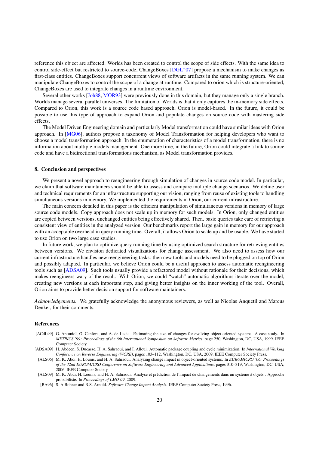reference this object are affected. Worlds has been created to control the scope of side effects. With the same idea to control side-effect but restricted to source-code, ChangeBoxes  $[DGL^+07]$  propose a mechanism to make changes as first-class entities. ChangeBoxes support concurrent views of software artifacts in the same running system. We can manipulate ChangeBoxes to control the scope of a change at runtime. Compared to orion which is structure-oriented, ChangeBoxes are used to integrate changes in a runtime environment.

Several other works [Joh88, MOR93] were previously done in this domain, but they manage only a single branch. Worlds manage several parallel universes. The limitation of Worlds is that it only captures the in-memory side effects. Compared to Orion, this work is a source code based approach, Orion is model-based. In the future, it could be possible to use this type of approach to expand Orion and populate changes on source code with mastering side effects.

The Model Driven Engineering domain and particularly Model transformation could have similar ideas with Orion approach. In [MG06], authors propose a taxonomy of Model Transformation for helping developers who want to choose a model transformation approach. In the enumeration of characteristics of a model transformation, there is no information about multiple models management. One more time, in the future, Orion could integrate a link to source code and have a bidirectional transformations mechanism, as Model transformation provides.

#### 8. Conclusion and perspectives

We present a novel approach to reengineering through simulation of changes in source code model. In particular, we claim that software maintainers should be able to assess and compare multiple change scenarios. We define user and technical requirements for an infrastructure supporting our vision, ranging from reuse of existing tools to handling simultaneous versions in memory. We implemented the requirements in Orion, our current infrastructure.

The main concern detailed in this paper is the efficient manipulation of simultaneous versions in memory of large source code models. Copy approach does not scale up in memory for such models. In Orion, only changed entities are copied between versions, unchanged entities being effectively shared. Then, basic queries take care of retrieving a consistent view of entities in the analyzed version. Our benchmarks report the large gain in memory for our approach with an acceptable overhead in query running time. Overall, it allows Orion to scale up and be usable. We have started to use Orion on two large case studies.

In future work, we plan to optimize query running time by using optimized search structure for retrieving entities between versions. We envision dedicated visualizations for change assessment. We also need to assess how our current infrastructure handles new reengineering tasks: then new tools and models need to be plugged on top of Orion and possibly adapted. In particular, we believe Orion could be a useful approach to assess automatic reengineering tools such as [ADSA09]. Such tools usually provide a refactored model without rationale for their decisions, which makes reengineers wary of the result. With Orion, we could "watch" automatic algorithms iterate over the model, creating new versions at each important step, and giving better insights on the inner working of the tool. Overall, Orion aims to provide better decision support for software maintainers.

*Acknowledgements.* We gratefully acknowledge the anonymous reviewers, as well as Nicolas Anquetil and Marcus Denker, for their comments.

#### References

- [ACdL99] G. Antoniol, G. Canfora, and A. de Lucia. Estimating the size of changes for evolving object oriented systems: A case study. In *METRICS '99: Proceedings of the 6th International Symposium on Software Metrics*, page 250, Washington, DC, USA, 1999. IEEE Computer Society.
- [ADSA09] H. Abdeen, S. Ducasse, H. A. Sahraoui, and I. Alloui. Automatic package coupling and cycle minimization. In *International Working Conference on Reverse Engineering (WCRE)*, pages 103–112, Washington, DC, USA, 2009. IEEE Computer Society Press.
- [ALS06] M. K. Abdi, H. Lounis, and H. A. Sahraoui. Analyzing change impact in object-oriented systems. In *EUROMICRO '06: Proceedings of the 32nd EUROMICRO Conference on Software Engineering and Advanced Applications*, pages 310–319, Washington, DC, USA, 2006. IEEE Computer Society.
- [ALS09] M. K. Abdi, H. Lounis, and H. A. Sahraoui. Analyse et prédiction de l'impact de changements dans un système à objets : Approche probabiliste. In *Proceedings of LMO'09*, 2009.
- [BA96] S. A Bohner and R.S. Arnold. *Software Change Impact Analysis*. IEEE Computer Society Press, 1996.